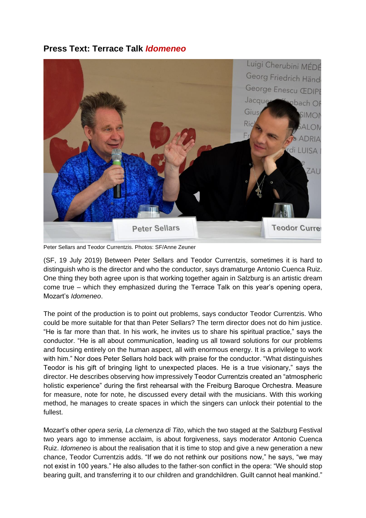## **Press Text: Terrace Talk** *Idomeneo*



Peter Sellars and Teodor Currentzis. Photos: SF/Anne Zeuner

(SF, 19 July 2019) Between Peter Sellars and Teodor Currentzis, sometimes it is hard to distinguish who is the director and who the conductor, says dramaturge Antonio Cuenca Ruiz. One thing they both agree upon is that working together again in Salzburg is an artistic dream come true – which they emphasized during the Terrace Talk on this year's opening opera, Mozart's *Idomeneo*.

The point of the production is to point out problems, says conductor Teodor Currentzis. Who could be more suitable for that than Peter Sellars? The term director does not do him justice. "He is far more than that. In his work, he invites us to share his spiritual practice," says the conductor. "He is all about communication, leading us all toward solutions for our problems and focusing entirely on the human aspect, all with enormous energy. It is a privilege to work with him." Nor does Peter Sellars hold back with praise for the conductor. "What distinguishes Teodor is his gift of bringing light to unexpected places. He is a true visionary," says the director. He describes observing how impressively Teodor Currentzis created an "atmospheric holistic experience" during the first rehearsal with the Freiburg Baroque Orchestra. Measure for measure, note for note, he discussed every detail with the musicians. With this working method, he manages to create spaces in which the singers can unlock their potential to the fullest.

Mozart's other *opera seria, La clemenza di Tito*, which the two staged at the Salzburg Festival two years ago to immense acclaim, is about forgiveness, says moderator Antonio Cuenca Ruiz. *Idomeneo* is about the realisation that it is time to stop and give a new generation a new chance, Teodor Currentzis adds. "If we do not rethink our positions now," he says, "we may not exist in 100 years." He also alludes to the father-son conflict in the opera: "We should stop bearing guilt, and transferring it to our children and grandchildren. Guilt cannot heal mankind."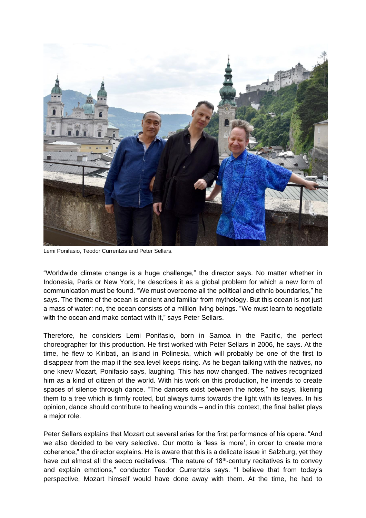

Lemi Ponifasio, Teodor Currentzis and Peter Sellars.

"Worldwide climate change is a huge challenge," the director says. No matter whether in Indonesia, Paris or New York, he describes it as a global problem for which a new form of communication must be found. "We must overcome all the political and ethnic boundaries," he says. The theme of the ocean is ancient and familiar from mythology. But this ocean is not just a mass of water: no, the ocean consists of a million living beings. "We must learn to negotiate with the ocean and make contact with it," says Peter Sellars.

Therefore, he considers Lemi Ponifasio, born in Samoa in the Pacific, the perfect choreographer for this production. He first worked with Peter Sellars in 2006, he says. At the time, he flew to Kiribati, an island in Polinesia, which will probably be one of the first to disappear from the map if the sea level keeps rising. As he began talking with the natives, no one knew Mozart, Ponifasio says, laughing. This has now changed. The natives recognized him as a kind of citizen of the world. With his work on this production, he intends to create spaces of silence through dance. "The dancers exist between the notes," he says, likening them to a tree which is firmly rooted, but always turns towards the light with its leaves. In his opinion, dance should contribute to healing wounds – and in this context, the final ballet plays a major role.

Peter Sellars explains that Mozart cut several arias for the first performance of his opera. "And we also decided to be very selective. Our motto is 'less is more', in order to create more coherence," the director explains. He is aware that this is a delicate issue in Salzburg, yet they have cut almost all the secco recitatives. "The nature of 18<sup>th</sup>-century recitatives is to convey and explain emotions," conductor Teodor Currentzis says. "I believe that from today's perspective, Mozart himself would have done away with them. At the time, he had to